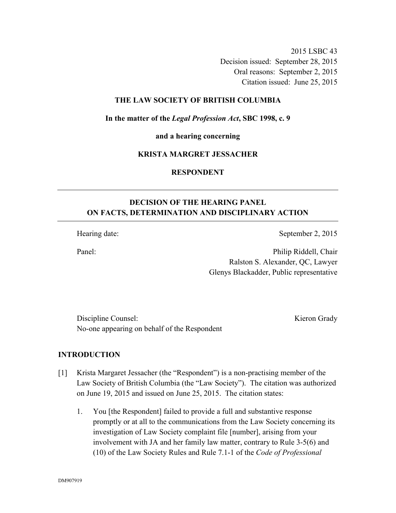2015 LSBC 43

Decision issued: September 28, 2015

Oral reasons: September 2, 2015

Citation issued: June 25, 2015

## **THE LAW SOCIETY OF BRITISH COLUMBIA**

**In the matter of the** *Legal Profession Act***, SBC 1998, c. 9** 

**and a hearing concerning** 

### **KRISTA MARGRET JESSACHER**

**RESPONDENT** 

# **DECISION OF THE HEARING PANEL ON FACTS, DETERMINATION AND DISCIPLINARY ACTION**

Hearing date: September 2, 2015

Panel: Philip Riddell, Chair Ralston S. Alexander, QC, Lawyer Glenys Blackadder, Public representative

Discipline Counsel: Kieron Grady No-one appearing on behalf of the Respondent

**INTRODUCTION** 

- [1] Krista Margaret Jessacher (the "Respondent") is a non-practising member of the Law Society of British Columbia (the "Law Society"). The citation was authorized on June 19, 2015 and issued on June 25, 2015. The citation states:
	- 1. You [the Respondent] failed to provide a full and substantive response promptly or at all to the communications from the Law Society concerning its investigation of Law Society complaint file [number], arising from your involvement with JA and her family law matter, contrary to Rule 3-5(6) and (10) of the Law Society Rules and Rule 7.1-1 of the *Code of Professional*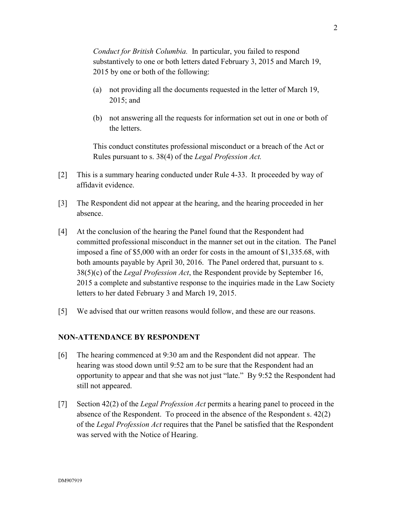*Conduct for British Columbia.* In particular, you failed to respond substantively to one or both letters dated February 3, 2015 and March 19, 2015 by one or both of the following:

- (a) not providing all the documents requested in the letter of March 19, 2015; and
- (b) not answering all the requests for information set out in one or both of the letters.

This conduct constitutes professional misconduct or a breach of the Act or Rules pursuant to s. 38(4) of the *Legal Profession Act.* 

- [2] This is a summary hearing conducted under Rule 4-33. It proceeded by way of affidavit evidence.
- [3] The Respondent did not appear at the hearing, and the hearing proceeded in her absence.
- [4] At the conclusion of the hearing the Panel found that the Respondent had committed professional misconduct in the manner set out in the citation. The Panel imposed a fine of \$5,000 with an order for costs in the amount of \$1,335.68, with both amounts payable by April 30, 2016. The Panel ordered that, pursuant to s. 38(5)(c) of the *Legal Profession Act*, the Respondent provide by September 16, 2015 a complete and substantive response to the inquiries made in the Law Society letters to her dated February 3 and March 19, 2015.
- [5] We advised that our written reasons would follow, and these are our reasons.

### **NON-ATTENDANCE BY RESPONDENT**

- [6] The hearing commenced at 9:30 am and the Respondent did not appear. The hearing was stood down until 9:52 am to be sure that the Respondent had an opportunity to appear and that she was not just "late." By 9:52 the Respondent had still not appeared.
- [7] Section 42(2) of the *Legal Profession Act* permits a hearing panel to proceed in the absence of the Respondent. To proceed in the absence of the Respondent s. 42(2) of the *Legal Profession Act* requires that the Panel be satisfied that the Respondent was served with the Notice of Hearing.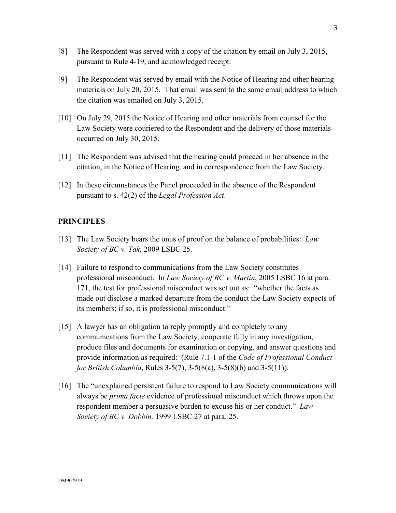- [8] The Respondent was served with a copy of the citation by email on July 3, 2015, pursuant to Rule 4-19, and acknowledged receipt.
- [9] The Respondent was served by email with the Notice of Hearing and other hearing materials on July 20, 2015. That email was sent to the same email address to which the citation was emailed on July 3, 2015.
- [10] On July 29, 2015 the Notice of Hearing and other materials from counsel for the Law Society were couriered to the Respondent and the delivery of those materials occurred on July 30, 2015.
- [11] The Respondent was advised that the hearing could proceed in her absence in the citation, in the Notice of Hearing, and in correspondence from the Law Society.
- [12] In these circumstances the Panel proceeded in the absence of the Respondent pursuant to s. 42(2) of the *Legal Profession Act*.

# **PRINCIPLES**

- [13] The Law Society bears the onus of proof on the balance of probabilities: *Law Society of BC v. Tak*, 2009 LSBC 25.
- [14] Failure to respond to communications from the Law Society constitutes professional misconduct. In *Law Society of BC v. Martin*, 2005 LSBC 16 at para. 171, the test for professional misconduct was set out as: "whether the facts as made out disclose a marked departure from the conduct the Law Society expects of its members; if so, it is professional misconduct."
- [15] A lawyer has an obligation to reply promptly and completely to any communications from the Law Society, cooperate fully in any investigation, produce files and documents for examination or copying, and answer questions and provide information as required: (Rule 7.1-1 of the *Code of Professional Conduct for British Columbia*, Rules 3-5(7), 3-5(8(a), 3-5(8)(b) and 3-5(11)).
- [16] The "unexplained persistent failure to respond to Law Society communications will always be *prima facie* evidence of professional misconduct which throws upon the respondent member a persuasive burden to excuse his or her conduct." *Law Society of BC v. Dobbin,* 1999 LSBC 27 at para. 25.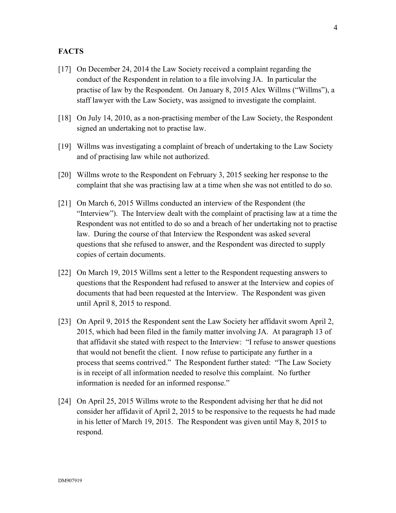## **FACTS**

- [17] On December 24, 2014 the Law Society received a complaint regarding the conduct of the Respondent in relation to a file involving JA. In particular the practise of law by the Respondent. On January 8, 2015 Alex Willms ("Willms"), a staff lawyer with the Law Society, was assigned to investigate the complaint.
- [18] On July 14, 2010, as a non-practising member of the Law Society, the Respondent signed an undertaking not to practise law.
- [19] Willms was investigating a complaint of breach of undertaking to the Law Society and of practising law while not authorized.
- [20] Willms wrote to the Respondent on February 3, 2015 seeking her response to the complaint that she was practising law at a time when she was not entitled to do so.
- [21] On March 6, 2015 Willms conducted an interview of the Respondent (the "Interview"). The Interview dealt with the complaint of practising law at a time the Respondent was not entitled to do so and a breach of her undertaking not to practise law. During the course of that Interview the Respondent was asked several questions that she refused to answer, and the Respondent was directed to supply copies of certain documents.
- [22] On March 19, 2015 Willms sent a letter to the Respondent requesting answers to questions that the Respondent had refused to answer at the Interview and copies of documents that had been requested at the Interview. The Respondent was given until April 8, 2015 to respond.
- [23] On April 9, 2015 the Respondent sent the Law Society her affidavit sworn April 2, 2015, which had been filed in the family matter involving JA. At paragraph 13 of that affidavit she stated with respect to the Interview: "I refuse to answer questions that would not benefit the client. I now refuse to participate any further in a process that seems contrived." The Respondent further stated: "The Law Society is in receipt of all information needed to resolve this complaint. No further information is needed for an informed response."
- [24] On April 25, 2015 Willms wrote to the Respondent advising her that he did not consider her affidavit of April 2, 2015 to be responsive to the requests he had made in his letter of March 19, 2015. The Respondent was given until May 8, 2015 to respond.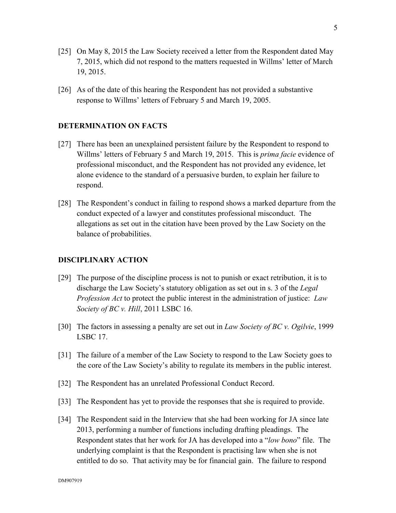- [25] On May 8, 2015 the Law Society received a letter from the Respondent dated May 7, 2015, which did not respond to the matters requested in Willms' letter of March 19, 2015.
- [26] As of the date of this hearing the Respondent has not provided a substantive response to Willms' letters of February 5 and March 19, 2005.

## **DETERMINATION ON FACTS**

- [27] There has been an unexplained persistent failure by the Respondent to respond to Willms' letters of February 5 and March 19, 2015. This is *prima facie* evidence of professional misconduct, and the Respondent has not provided any evidence, let alone evidence to the standard of a persuasive burden, to explain her failure to respond.
- [28] The Respondent's conduct in failing to respond shows a marked departure from the conduct expected of a lawyer and constitutes professional misconduct. The allegations as set out in the citation have been proved by the Law Society on the balance of probabilities.

#### **DISCIPLINARY ACTION**

- [29] The purpose of the discipline process is not to punish or exact retribution, it is to discharge the Law Society's statutory obligation as set out in s. 3 of the *Legal Profession Act* to protect the public interest in the administration of justice: *Law Society of BC v. Hill*, 2011 LSBC 16.
- [30] The factors in assessing a penalty are set out in *Law Society of BC v. Ogilvie*, 1999 LSBC 17.
- [31] The failure of a member of the Law Society to respond to the Law Society goes to the core of the Law Society's ability to regulate its members in the public interest.
- [32] The Respondent has an unrelated Professional Conduct Record.
- [33] The Respondent has yet to provide the responses that she is required to provide.
- [34] The Respondent said in the Interview that she had been working for JA since late 2013, performing a number of functions including drafting pleadings. The Respondent states that her work for JA has developed into a "*low bono*" file. The underlying complaint is that the Respondent is practising law when she is not entitled to do so. That activity may be for financial gain. The failure to respond